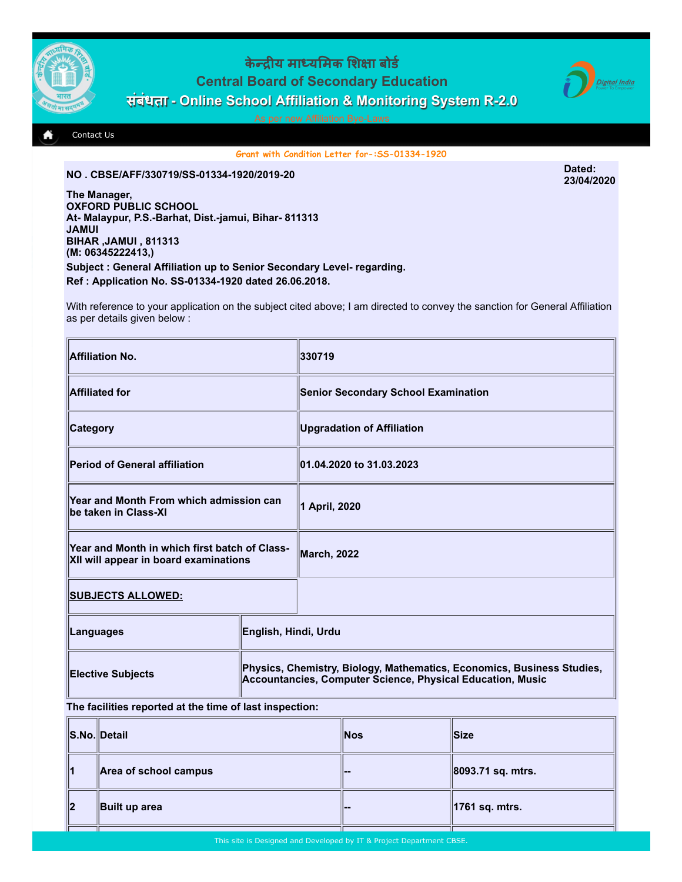

## केन्द्रीय माध्यमिक शिक्षा बोर्ड Central Board of Secondary Education संबंधता - Online School Affiliation & Monitoring System R-2.0



[Contact Us](http://cbseaff.nic.in/cbse_aff/help.aspx)

Grant with Condition Letter for-:SS-01334-1920

## NO . CBSE/AFF/330719/SS-01334-1920/2019-20 Dated:

The Manager, OXFORD PUBLIC SCHOOL At- Malaypur, P.S.-Barhat, Dist.-jamui, Bihar- 811313 JAMUI BIHAR ,JAMUI , 811313 (M: 06345222413,) Subject : General Affiliation up to Senior Secondary Level- regarding. Ref : Application No. SS-01334-1920 dated 26.06.2018.

With reference to your application on the subject cited above; I am directed to convey the sanction for General Affiliation as per details given below :

| Affiliation No.                                                                        |                                                                                                                                      | 330719                                     |
|----------------------------------------------------------------------------------------|--------------------------------------------------------------------------------------------------------------------------------------|--------------------------------------------|
| Affiliated for                                                                         |                                                                                                                                      | <b>Senior Secondary School Examination</b> |
| <b>Category</b>                                                                        |                                                                                                                                      | <b>Upgradation of Affiliation</b>          |
| Period of General affiliation                                                          |                                                                                                                                      | 01.04.2020 to 31.03.2023                   |
| Year and Month From which admission can<br>be taken in Class-XI                        |                                                                                                                                      | 1 April, 2020                              |
| Year and Month in which first batch of Class-<br>XII will appear in board examinations |                                                                                                                                      | <b>March, 2022</b>                         |
| <u>  SUBJECTS ALLOWED:</u>                                                             |                                                                                                                                      |                                            |
| Languages                                                                              | English, Hindi, Urdu                                                                                                                 |                                            |
| <b>Elective Subjects</b>                                                               | Physics, Chemistry, Biology, Mathematics, Economics, Business Studies,<br>Accountancies, Computer Science, Physical Education, Music |                                            |

## The facilities reported at the time of last inspection:

|    | S.No. Detail          | <b>Nos</b>         | lSize∶            |
|----|-----------------------|--------------------|-------------------|
| 11 | Area of school campus | <u>  — —</u>       | 8093.71 sq. mtrs. |
| ∥2 | Built up area         | <u> 1000 - 100</u> | 1761 sq. mtrs.    |

23/04/2020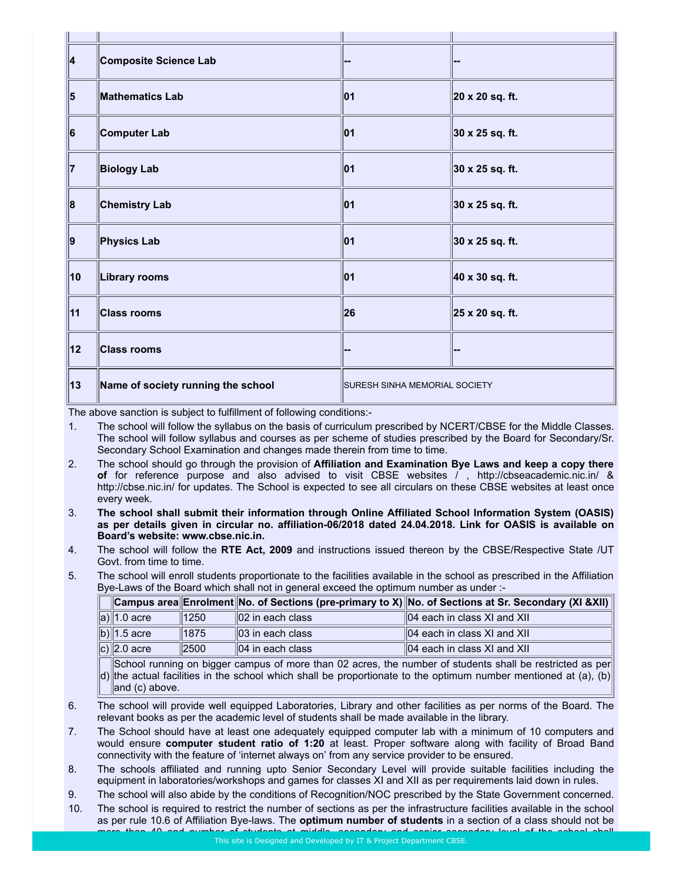| 4             | <b>Composite Science Lab</b>       |                                      |                         |
|---------------|------------------------------------|--------------------------------------|-------------------------|
| 15            | <b>Mathematics Lab</b>             | 01                                   | 20 x 20 sq. ft.         |
| 16            | Computer Lab                       | 01                                   | 30 x 25 sq. ft.         |
| 17            | <b>Biology Lab</b>                 | 01                                   | 30 x 25 sq. ft.         |
| $\parallel$ 8 | <b>Chemistry Lab</b>               | 01                                   | 30 x 25 sq. ft.         |
| ∥9            | <b>Physics Lab</b>                 | 01                                   | $ 30 \times 25$ sq. ft. |
| 10            | <b>Library rooms</b>               | 01                                   | 40 x 30 sq. ft.         |
| 11            | <b>Class rooms</b>                 | 26                                   | 25 x 20 sq. ft.         |
| 12            | <b>Class rooms</b>                 |                                      |                         |
| 13            | Name of society running the school | <b>SURESH SINHA MEMORIAL SOCIETY</b> |                         |

The above sanction is subject to fulfillment of following conditions:-

- 1. The school will follow the syllabus on the basis of curriculum prescribed by NCERT/CBSE for the Middle Classes. The school will follow syllabus and courses as per scheme of studies prescribed by the Board for Secondary/Sr. Secondary School Examination and changes made therein from time to time.
- 2. The school should go through the provision of Affiliation and Examination Bye Laws and keep a copy there of for reference purpose and also advised to visit CBSE websites / , http://cbseacademic.nic.in/ & http://cbse.nic.in/ for updates. The School is expected to see all circulars on these CBSE websites at least once every week.
- 3. The school shall submit their information through Online Affiliated School Information System (OASIS) as per details given in circular no. affiliation-06/2018 dated 24.04.2018. Link for OASIS is available on Board's website: www.cbse.nic.in.
- 4. The school will follow the RTE Act, 2009 and instructions issued thereon by the CBSE/Respective State /UT Govt. from time to time.
- 5. The school will enroll students proportionate to the facilities available in the school as prescribed in the Affiliation Bye-Laws of the Board which shall not in general exceed the optimum number as under :-

|                                                                          |       |                              | Campus area Enrolment No. of Sections (pre-primary to X) No. of Sections at Sr. Secondary (XI & XII) |  |
|--------------------------------------------------------------------------|-------|------------------------------|------------------------------------------------------------------------------------------------------|--|
| a) $\ $ 1.0 acre                                                         | 1250  | $\parallel$ 02 in each class | $\parallel$ 04 each in class XI and XII                                                              |  |
| b) 1.5 acre                                                              | 1875  | $\parallel$ 03 in each class | $\parallel$ 04 each in class XI and XII                                                              |  |
| c) $\ 2.0\right.$ acre                                                   | 12500 | $  04$ in each class         | $\parallel$ 04 each in class XI and XII                                                              |  |
| $\mathbb{R}$ , the contract of the contract of the contract $\mathbb{R}$ |       |                              |                                                                                                      |  |

d) the actual facilities in the school which shall be proportionate to the optimum number mentioned at (a), (b) School running on bigger campus of more than 02 acres, the number of students shall be restricted as per and (c) above.

- 6. The school will provide well equipped Laboratories, Library and other facilities as per norms of the Board. The relevant books as per the academic level of students shall be made available in the library.
- 7. The School should have at least one adequately equipped computer lab with a minimum of 10 computers and would ensure computer student ratio of 1:20 at least. Proper software along with facility of Broad Band connectivity with the feature of 'internet always on' from any service provider to be ensured.
- 8. The schools affiliated and running upto Senior Secondary Level will provide suitable facilities including the equipment in laboratories/workshops and games for classes XI and XII as per requirements laid down in rules.
- 9. The school will also abide by the conditions of Recognition/NOC prescribed by the State Government concerned.
- 10. The school is required to restrict the number of sections as per the infrastructure facilities available in the school as per rule 10.6 of Affiliation Bye-laws. The optimum number of students in a section of a class should not be more than 40 and number of students at middle, secondary and senior secondary level of the school shall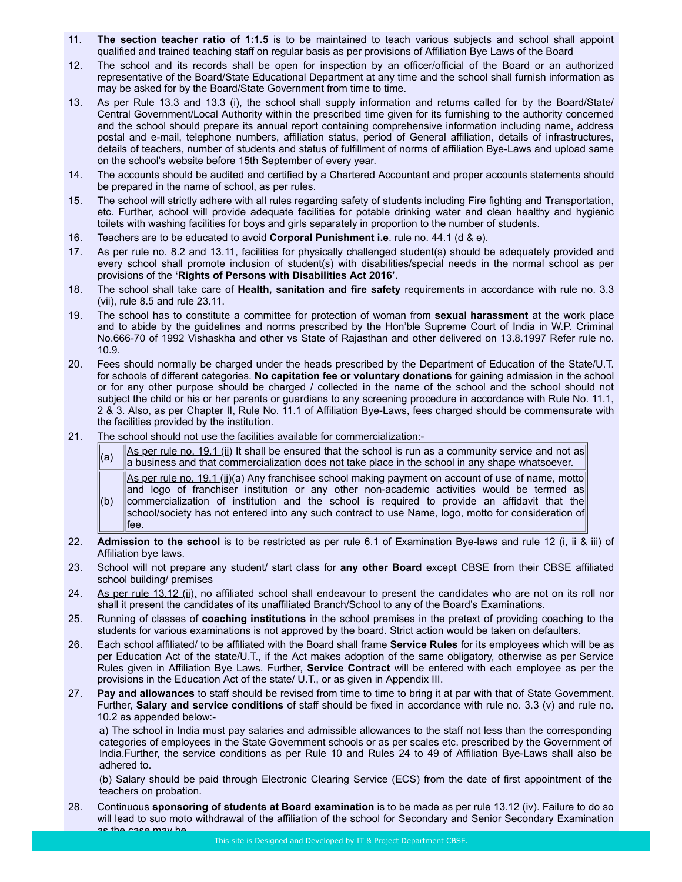- 11. The section teacher ratio of 1:1.5 is to be maintained to teach various subjects and school shall appoint qualified and trained teaching staff on regular basis as per provisions of Affiliation Bye Laws of the Board
- 12. The school and its records shall be open for inspection by an officer/official of the Board or an authorized representative of the Board/State Educational Department at any time and the school shall furnish information as may be asked for by the Board/State Government from time to time.
- 13. As per Rule 13.3 and 13.3 (i), the school shall supply information and returns called for by the Board/State/ Central Government/Local Authority within the prescribed time given for its furnishing to the authority concerned and the school should prepare its annual report containing comprehensive information including name, address postal and e-mail, telephone numbers, affiliation status, period of General affiliation, details of infrastructures, details of teachers, number of students and status of fulfillment of norms of affiliation Bye-Laws and upload same on the school's website before 15th September of every year.
- 14. The accounts should be audited and certified by a Chartered Accountant and proper accounts statements should be prepared in the name of school, as per rules.
- 15. The school will strictly adhere with all rules regarding safety of students including Fire fighting and Transportation, etc. Further, school will provide adequate facilities for potable drinking water and clean healthy and hygienic toilets with washing facilities for boys and girls separately in proportion to the number of students.
- 16. Teachers are to be educated to avoid Corporal Punishment i.e. rule no. 44.1 (d & e).
- 17. As per rule no. 8.2 and 13.11, facilities for physically challenged student(s) should be adequately provided and every school shall promote inclusion of student(s) with disabilities/special needs in the normal school as per provisions of the 'Rights of Persons with Disabilities Act 2016'.
- 18. The school shall take care of Health, sanitation and fire safety requirements in accordance with rule no. 3.3 (vii), rule 8.5 and rule 23.11.
- 19. The school has to constitute a committee for protection of woman from sexual harassment at the work place and to abide by the guidelines and norms prescribed by the Hon'ble Supreme Court of India in W.P. Criminal No.666-70 of 1992 Vishaskha and other vs State of Rajasthan and other delivered on 13.8.1997 Refer rule no. 10.9.
- 20. Fees should normally be charged under the heads prescribed by the Department of Education of the State/U.T. for schools of different categories. No capitation fee or voluntary donations for gaining admission in the school or for any other purpose should be charged / collected in the name of the school and the school should not subject the child or his or her parents or guardians to any screening procedure in accordance with Rule No. 11.1, 2 & 3. Also, as per Chapter II, Rule No. 11.1 of Affiliation Bye-Laws, fees charged should be commensurate with the facilities provided by the institution.
- 21. The school should not use the facilities available for commercialization:-
	- (a)  $\Delta s$  per rule no. 19.1 (ii) It shall be ensured that the school is run as a community service and not as a business and that commercialization does not take place in the school in any shape whatsoever.  $(b)$ As per rule no. 19.1 (ii)(a) Any franchisee school making payment on account of use of name, motto and logo of franchiser institution or any other non-academic activities would be termed as commercialization of institution and the school is required to provide an affidavit that the school/society has not entered into any such contract to use Name, logo, motto for consideration of fee.
- 22. Admission to the school is to be restricted as per rule 6.1 of Examination Bye-laws and rule 12 (i, ii & iii) of Affiliation bye laws.
- 23. School will not prepare any student/ start class for any other Board except CBSE from their CBSE affiliated school building/ premises
- 24. As per rule 13.12 (ii), no affiliated school shall endeavour to present the candidates who are not on its roll nor shall it present the candidates of its unaffiliated Branch/School to any of the Board's Examinations.
- 25. Running of classes of coaching institutions in the school premises in the pretext of providing coaching to the students for various examinations is not approved by the board. Strict action would be taken on defaulters.
- 26. Each school affiliated/ to be affiliated with the Board shall frame Service Rules for its employees which will be as per Education Act of the state/U.T., if the Act makes adoption of the same obligatory, otherwise as per Service Rules given in Affiliation Bye Laws. Further, Service Contract will be entered with each employee as per the provisions in the Education Act of the state/ U.T., or as given in Appendix III.
- 27. Pay and allowances to staff should be revised from time to time to bring it at par with that of State Government. Further, Salary and service conditions of staff should be fixed in accordance with rule no. 3.3 (v) and rule no. 10.2 as appended below:-

a) The school in India must pay salaries and admissible allowances to the staff not less than the corresponding categories of employees in the State Government schools or as per scales etc. prescribed by the Government of India.Further, the service conditions as per Rule 10 and Rules 24 to 49 of Affiliation Bye-Laws shall also be adhered to.

(b) Salary should be paid through Electronic Clearing Service (ECS) from the date of first appointment of the teachers on probation.

28. Continuous sponsoring of students at Board examination is to be made as per rule 13.12 (iv). Failure to do so will lead to suo moto withdrawal of the affiliation of the school for Secondary and Senior Secondary Examination as the case may be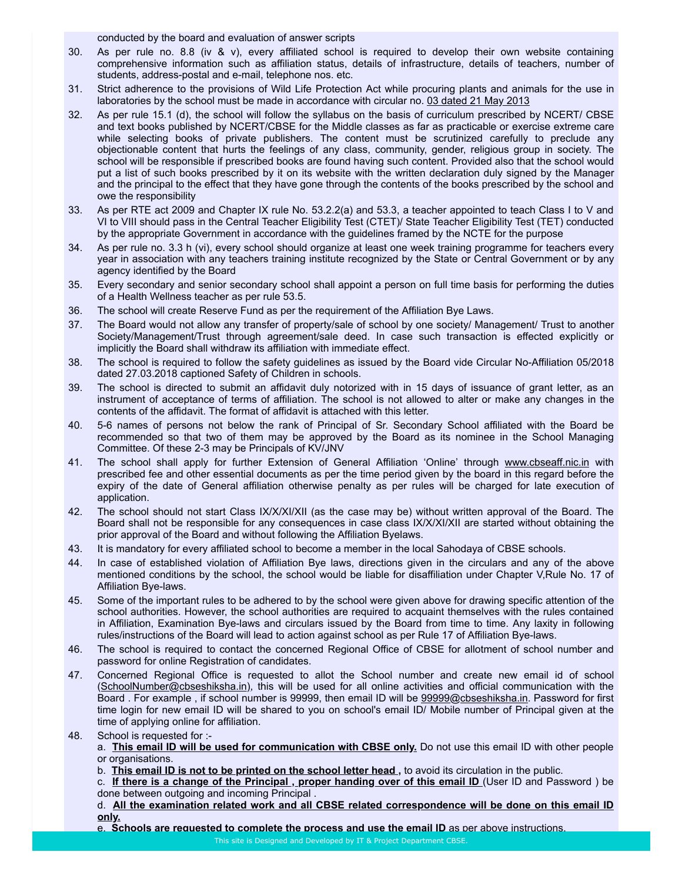conducted by the board and evaluation of answer scripts

- 30. As per rule no. 8.8 (iv & v), every affiliated school is required to develop their own website containing comprehensive information such as affiliation status, details of infrastructure, details of teachers, number of students, address-postal and e-mail, telephone nos. etc.
- 31. Strict adherence to the provisions of Wild Life Protection Act while procuring plants and animals for the use in laboratories by the school must be made in accordance with circular no. 03 dated 21 May 2013
- 32. As per rule 15.1 (d), the school will follow the syllabus on the basis of curriculum prescribed by NCERT/ CBSE and text books published by NCERT/CBSE for the Middle classes as far as practicable or exercise extreme care while selecting books of private publishers. The content must be scrutinized carefully to preclude any objectionable content that hurts the feelings of any class, community, gender, religious group in society. The school will be responsible if prescribed books are found having such content. Provided also that the school would put a list of such books prescribed by it on its website with the written declaration duly signed by the Manager and the principal to the effect that they have gone through the contents of the books prescribed by the school and owe the responsibility
- 33. As per RTE act 2009 and Chapter IX rule No. 53.2.2(a) and 53.3, a teacher appointed to teach Class I to V and VI to VIII should pass in the Central Teacher Eligibility Test (CTET)/ State Teacher Eligibility Test (TET) conducted by the appropriate Government in accordance with the guidelines framed by the NCTE for the purpose
- 34. As per rule no. 3.3 h (vi), every school should organize at least one week training programme for teachers every year in association with any teachers training institute recognized by the State or Central Government or by any agency identified by the Board
- 35. Every secondary and senior secondary school shall appoint a person on full time basis for performing the duties of a Health Wellness teacher as per rule 53.5.
- 36. The school will create Reserve Fund as per the requirement of the Affiliation Bye Laws.
- 37. The Board would not allow any transfer of property/sale of school by one society/ Management/ Trust to another Society/Management/Trust through agreement/sale deed. In case such transaction is effected explicitly or implicitly the Board shall withdraw its affiliation with immediate effect.
- 38. The school is required to follow the safety guidelines as issued by the Board vide Circular No-Affiliation 05/2018 dated 27.03.2018 captioned Safety of Children in schools.
- 39. The school is directed to submit an affidavit duly notorized with in 15 days of issuance of grant letter, as an instrument of acceptance of terms of affiliation. The school is not allowed to alter or make any changes in the contents of the affidavit. The format of affidavit is attached with this letter.
- 40. 5-6 names of persons not below the rank of Principal of Sr. Secondary School affiliated with the Board be recommended so that two of them may be approved by the Board as its nominee in the School Managing Committee. Of these 2-3 may be Principals of KV/JNV
- 41. The school shall apply for further Extension of General Affiliation 'Online' through www.cbseaff.nic.in with prescribed fee and other essential documents as per the time period given by the board in this regard before the expiry of the date of General affiliation otherwise penalty as per rules will be charged for late execution of application.
- 42. The school should not start Class IX/X/XI/XII (as the case may be) without written approval of the Board. The Board shall not be responsible for any consequences in case class IX/X/XI/XII are started without obtaining the prior approval of the Board and without following the Affiliation Byelaws.
- 43. It is mandatory for every affiliated school to become a member in the local Sahodaya of CBSE schools.
- 44. In case of established violation of Affiliation Bye laws, directions given in the circulars and any of the above mentioned conditions by the school, the school would be liable for disaffiliation under Chapter V,Rule No. 17 of Affiliation Bye-laws.
- 45. Some of the important rules to be adhered to by the school were given above for drawing specific attention of the school authorities. However, the school authorities are required to acquaint themselves with the rules contained in Affiliation, Examination Bye-laws and circulars issued by the Board from time to time. Any laxity in following rules/instructions of the Board will lead to action against school as per Rule 17 of Affiliation Bye-laws.
- 46. The school is required to contact the concerned Regional Office of CBSE for allotment of school number and password for online Registration of candidates.
- 47. Concerned Regional Office is requested to allot the School number and create new email id of school (SchoolNumber@cbseshiksha.in), this will be used for all online activities and official communication with the Board . For example, if school number is 99999, then email ID will be 99999@cbseshiksha.in. Password for first time login for new email ID will be shared to you on school's email ID/ Mobile number of Principal given at the time of applying online for affiliation.
- 48. School is requested for :
	- a. This email ID will be used for communication with CBSE only. Do not use this email ID with other people or organisations.
	- b. This email ID is not to be printed on the school letter head, to avoid its circulation in the public.
	- c. If there is a change of the Principal, proper handing over of this email ID (User ID and Password) be done between outgoing and incoming Principal .
	- d. All the examination related work and all CBSE related correspondence will be done on this email ID only.
	- e. Schools are requested to complete the process and use the email ID as per above instructions.